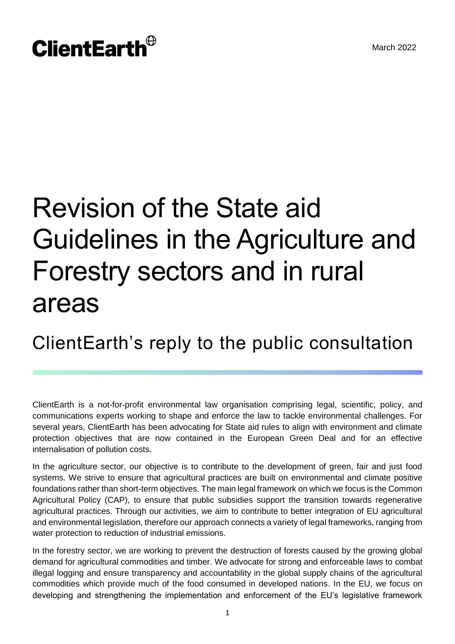# **ClientEarth**<sup>®</sup>

# Revision of the State aid Guidelines in the Agriculture and Forestry sectors and in rural areas

ClientEarth's reply to the public consultation

ClientEarth is a not-for-profit environmental law organisation comprising legal, scientific, policy, and communications experts working to shape and enforce the law to tackle environmental challenges. For several years, ClientEarth has been advocating for State aid rules to align with environment and climate protection objectives that are now contained in the European Green Deal and for an effective internalisation of pollution costs.

In the agriculture sector, our objective is to contribute to the development of green, fair and just food systems. We strive to ensure that agricultural practices are built on environmental and climate positive foundations rather than short-term objectives. The main legal framework on which we focus is the Common Agricultural Policy (CAP), to ensure that public subsidies support the transition towards regenerative agricultural practices. Through our activities, we aim to contribute to better integration of EU agricultural and environmental legislation, therefore our approach connects a variety of legal frameworks, ranging from water protection to reduction of industrial emissions.

In the forestry sector, we are working to prevent the destruction of forests caused by the growing global demand for agricultural commodities and timber. We advocate for strong and enforceable laws to combat illegal logging and ensure transparency and accountability in the global supply chains of the agricultural commodities which provide much of the food consumed in developed nations. In the EU, we focus on developing and strengthening the implementation and enforcement of the EU's legislative framework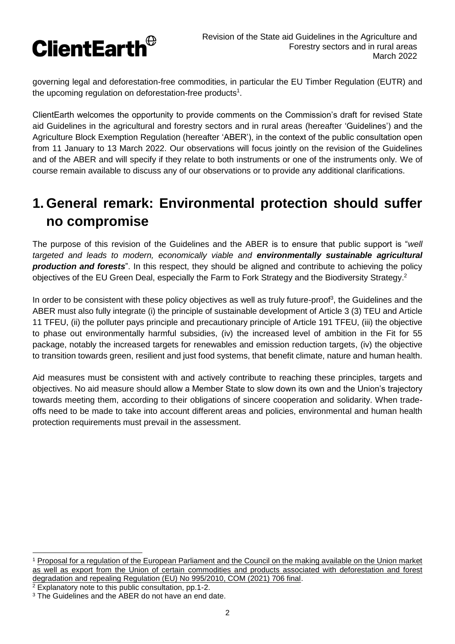

governing legal and deforestation-free commodities, in particular the EU Timber Regulation (EUTR) and the upcoming regulation on deforestation-free products<sup>1</sup>.

ClientEarth welcomes the opportunity to provide comments on the Commission's draft for revised State aid Guidelines in the agricultural and forestry sectors and in rural areas (hereafter 'Guidelines') and the Agriculture Block Exemption Regulation (hereafter 'ABER'), in the context of the public consultation open from 11 January to 13 March 2022. Our observations will focus jointly on the revision of the Guidelines and of the ABER and will specify if they relate to both instruments or one of the instruments only. We of course remain available to discuss any of our observations or to provide any additional clarifications.

# **1. General remark: Environmental protection should suffer no compromise**

The purpose of this revision of the Guidelines and the ABER is to ensure that public support is "*well targeted and leads to modern, economically viable and environmentally sustainable agricultural production and forests*". In this respect, they should be aligned and contribute to achieving the policy objectives of the EU Green Deal, especially the Farm to Fork Strategy and the Biodiversity Strategy.<sup>2</sup>

In order to be consistent with these policy objectives as well as truly future-proof<sup>3</sup>, the Guidelines and the ABER must also fully integrate (i) the principle of sustainable development of Article 3 (3) TEU and Article 11 TFEU, (ii) the polluter pays principle and precautionary principle of Article 191 TFEU, (iii) the objective to phase out environmentally harmful subsidies, (iv) the increased level of ambition in the Fit for 55 package, notably the increased targets for renewables and emission reduction targets, (iv) the objective to transition towards green, resilient and just food systems, that benefit climate, nature and human health.

Aid measures must be consistent with and actively contribute to reaching these principles, targets and objectives. No aid measure should allow a Member State to slow down its own and the Union's trajectory towards meeting them, according to their obligations of sincere cooperation and solidarity. When tradeoffs need to be made to take into account different areas and policies, environmental and human health protection requirements must prevail in the assessment.

<sup>2</sup> Explanatory note to this public consultation, pp.1-2.

 $\overline{a}$ 

<sup>1</sup> [Proposal for a regulation of the European Parliament and the Council on the making available on the Union market](https://ec.europa.eu/environment/document/download/5f1b726e-d7c4-4c51-a75c-3f1ac41eb1f8_en)  as well as export from the Union of certain [commodities and products associated with deforestation and forest](https://ec.europa.eu/environment/document/download/5f1b726e-d7c4-4c51-a75c-3f1ac41eb1f8_en)  [degradation and repealing Regulation \(EU\) No 995/2010, COM \(2021\) 706 final.](https://ec.europa.eu/environment/document/download/5f1b726e-d7c4-4c51-a75c-3f1ac41eb1f8_en)

<sup>&</sup>lt;sup>3</sup> The Guidelines and the ABER do not have an end date.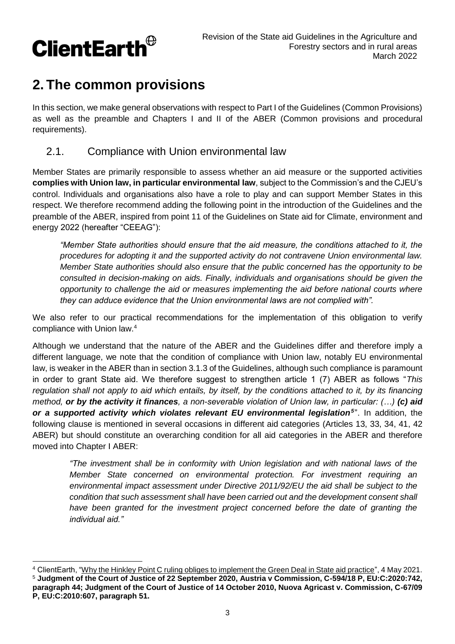

# **2. The common provisions**

In this section, we make general observations with respect to Part I of the Guidelines (Common Provisions) as well as the preamble and Chapters I and II of the ABER (Common provisions and procedural requirements).

## 2.1. Compliance with Union environmental law

Member States are primarily responsible to assess whether an aid measure or the supported activities **complies with Union law, in particular environmental law**, subject to the Commission's and the CJEU's control. Individuals and organisations also have a role to play and can support Member States in this respect. We therefore recommend adding the following point in the introduction of the Guidelines and the preamble of the ABER, inspired from point 11 of the Guidelines on State aid for Climate, environment and energy 2022 (hereafter "CEEAG"):

*"Member State authorities should ensure that the aid measure, the conditions attached to it, the procedures for adopting it and the supported activity do not contravene Union environmental law. Member State authorities should also ensure that the public concerned has the opportunity to be consulted in decision-making on aids. Finally, individuals and organisations should be given the opportunity to challenge the aid or measures implementing the aid before national courts where they can adduce evidence that the Union environmental laws are not complied with".*

We also refer to our practical recommendations for the implementation of this obligation to verify compliance with Union law.<sup>4</sup>

Although we understand that the nature of the ABER and the Guidelines differ and therefore imply a different language, we note that the condition of compliance with Union law, notably EU environmental law, is weaker in the ABER than in section 3.1.3 of the Guidelines, although such compliance is paramount in order to grant State aid. We therefore suggest to strengthen article 1 (7) ABER as follows "*This regulation shall not apply to aid which entails, by itself, by the conditions attached to it, by its financing method, or by the activity it finances, a non-severable violation of Union law, in particular: (…) (c) aid*  or a supported activity which violates relevant EU environmental legislation<sup>5</sup>". In addition, the following clause is mentioned in several occasions in different aid categories (Articles 13, 33, 34, 41, 42 ABER) but should constitute an overarching condition for all aid categories in the ABER and therefore moved into Chapter I ABER:

*"The investment shall be in conformity with Union legislation and with national laws of the Member State concerned on environmental protection. For investment requiring an environmental impact assessment under Directive 2011/92/EU the aid shall be subject to the condition that such assessment shall have been carried out and the development consent shall*  have been granted for the investment project concerned before the date of granting the *individual aid."*

<sup>4</sup> ClientEarth, ["Why the Hinkley Point C ruling obliges to implement the Green Deal in State aid practice"](https://www.clientearth.org/latest/documents/why-the-hinkley-point-c-ruling-obliges-to-implement-the-green-deal-in-state-aid-practice/), 4 May 2021. <sup>5</sup> **Judgment of the Court of Justice of 22 September 2020, Austria v Commission, C-594/18 P, EU:C:2020:742, paragraph 44; Judgment of the Court of Justice of 14 October 2010, Nuova Agricast v. Commission, C-67/09 P, EU:C:2010:607, paragraph 51.**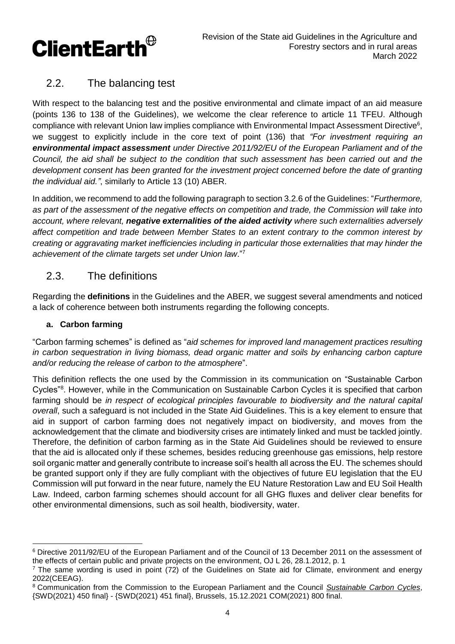

## 2.2. The balancing test

With respect to the balancing test and the positive environmental and climate impact of an aid measure (points 136 to 138 of the Guidelines), we welcome the clear reference to article 11 TFEU. Although compliance with relevant Union law implies compliance with Environmental Impact Assessment Directive<sup>6</sup>, we suggest to explicitly include in the core text of point (136) that *"For investment requiring an environmental impact assessment under Directive 2011/92/EU of the European Parliament and of the Council, the aid shall be subject to the condition that such assessment has been carried out and the development consent has been granted for the investment project concerned before the date of granting the individual aid."*, similarly to Article 13 (10) ABER.

In addition, we recommend to add the following paragraph to section 3.2.6 of the Guidelines: "*Furthermore, as part of the assessment of the negative effects on competition and trade, the Commission will take into account, where relevant, negative externalities of the aided activity where such externalities adversely affect competition and trade between Member States to an extent contrary to the common interest by creating or aggravating market inefficiencies including in particular those externalities that may hinder the achievement of the climate targets set under Union law*."<sup>7</sup>

## 2.3. The definitions

Regarding the **definitions** in the Guidelines and the ABER, we suggest several amendments and noticed a lack of coherence between both instruments regarding the following concepts.

### **a. Carbon farming**

"Carbon farming schemes" is defined as "*aid schemes for improved land management practices resulting in carbon sequestration in living biomass, dead organic matter and soils by enhancing carbon capture and/or reducing the release of carbon to the atmosphere*".

This definition reflects the one used by the Commission in its communication on "Sustainable Carbon Cycles<sup>"8</sup>. However, while in the Communication on Sustainable Carbon Cycles it is specified that carbon farming should be *in respect of ecological principles favourable to biodiversity and the natural capital overall*, such a safeguard is not included in the State Aid Guidelines. This is a key element to ensure that aid in support of carbon farming does not negatively impact on biodiversity, and moves from the acknowledgement that the climate and biodiversity crises are intimately linked and must be tackled jointly. Therefore, the definition of carbon farming as in the State Aid Guidelines should be reviewed to ensure that the aid is allocated only if these schemes, besides reducing greenhouse gas emissions, help restore soil organic matter and generally contribute to increase soil's health all across the EU. The schemes should be granted support only if they are fully compliant with the objectives of future EU legislation that the EU Commission will put forward in the near future, namely the EU Nature Restoration Law and EU Soil Health Law. Indeed, carbon farming schemes should account for all GHG fluxes and deliver clear benefits for other environmental dimensions, such as soil health, biodiversity, water.

 $\overline{a}$ <sup>6</sup> Directive 2011/92/EU of the European Parliament and of the Council of 13 December 2011 on the assessment of the effects of certain public and private projects on the environment, OJ L 26, 28.1.2012, p. 1

 $<sup>7</sup>$  The same wording is used in point (72) of the Guidelines on State aid for Climate, environment and energy</sup> 2022(CEEAG).

<sup>8</sup> Communication from the Commission to the European Parliament and the Council *[Sustainable Carbon Cycles](https://ec.europa.eu/clima/system/files/2021-12/com_2021_800_en_0.pdf)*, {SWD(2021) 450 final} - {SWD(2021) 451 final}, Brussels, 15.12.2021 COM(2021) 800 final.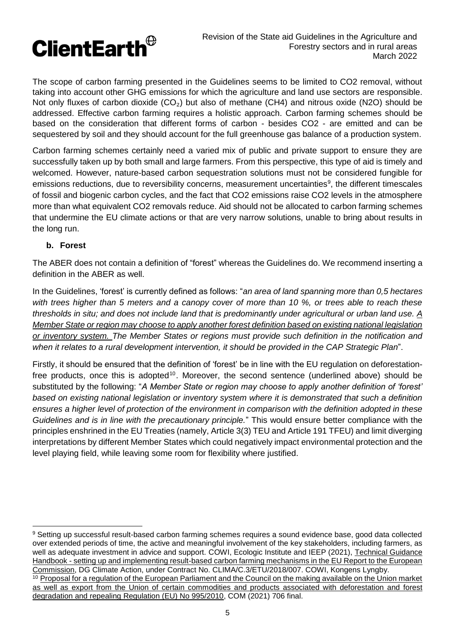The scope of carbon farming presented in the Guidelines seems to be limited to CO2 removal, without taking into account other GHG emissions for which the agriculture and land use sectors are responsible. Not only fluxes of carbon dioxide  $(CO_2)$  but also of methane (CH4) and nitrous oxide (N2O) should be addressed. Effective carbon farming requires a holistic approach. Carbon farming schemes should be based on the consideration that different forms of carbon - besides CO2 - are emitted and can be sequestered by soil and they should account for the full greenhouse gas balance of a production system.

Carbon farming schemes certainly need a varied mix of public and private support to ensure they are successfully taken up by both small and large farmers. From this perspective, this type of aid is timely and welcomed. However, nature-based carbon sequestration solutions must not be considered fungible for emissions reductions, due to reversibility concerns, measurement uncertainties<sup>9</sup>, the different timescales of fossil and biogenic carbon cycles, and the fact that CO2 emissions raise CO2 levels in the atmosphere more than what equivalent CO2 removals reduce. Aid should not be allocated to carbon farming schemes that undermine the EU climate actions or that are very narrow solutions, unable to bring about results in the long run.

#### **b. Forest**

The ABER does not contain a definition of "forest" whereas the Guidelines do. We recommend inserting a definition in the ABER as well.

In the Guidelines, 'forest' is currently defined as follows: "*an area of land spanning more than 0,5 hectares with trees higher than 5 meters and a canopy cover of more than 10 %, or trees able to reach these thresholds in situ; and does not include land that is predominantly under agricultural or urban land use. A Member State or region may choose to apply another forest definition based on existing national legislation or inventory system. The Member States or regions must provide such definition in the notification and when it relates to a rural development intervention, it should be provided in the CAP Strategic Plan*".

Firstly, it should be ensured that the definition of 'forest' be in line with the EU regulation on deforestationfree products, once this is adopted<sup>10</sup>. Moreover, the second sentence (underlined above) should be substituted by the following: "*A Member State or region may choose to apply another definition of 'forest' based on existing national legislation or inventory system where it is demonstrated that such a definition ensures a higher level of protection of the environment in comparison with the definition adopted in these Guidelines and is in line with the precautionary principle.*" This would ensure better compliance with the principles enshrined in the EU Treaties (namely, Article 3(3) TEU and Article 191 TFEU) and limit diverging interpretations by different Member States which could negatively impact environmental protection and the level playing field, while leaving some room for flexibility where justified.

<sup>9</sup> Setting up successful result-based carbon farming schemes requires a sound evidence base, good data collected over extended periods of time, the active and meaningful involvement of the key stakeholders, including farmers, as well as adequate investment in advice and support. COWI, Ecologic Institute and IEEP (2021), [Technical Guidance](file://///lon-fp01/home$/lfornabaio/Downloads/ML0221119ENN.en%20(2).pdf)  Handbook - [setting up and implementing result-based carbon farming mechanisms in the EU Report to the European](file://///lon-fp01/home$/lfornabaio/Downloads/ML0221119ENN.en%20(2).pdf)  [Commission,](file://///lon-fp01/home$/lfornabaio/Downloads/ML0221119ENN.en%20(2).pdf) DG Climate Action, under Contract No. CLIMA/C.3/ETU/2018/007. COWI, Kongens Lyngby.

<sup>&</sup>lt;sup>10</sup> Proposal for a regulation of the European Parliament and the Council on the making available on the Union market [as well as export from the Union of certain commodities and products associated with deforestation and forest](https://ec.europa.eu/environment/document/download/5f1b726e-d7c4-4c51-a75c-3f1ac41eb1f8_en)  [degradation and repealing Regulation \(EU\) No 995/2010,](https://ec.europa.eu/environment/document/download/5f1b726e-d7c4-4c51-a75c-3f1ac41eb1f8_en) COM (2021) 706 final.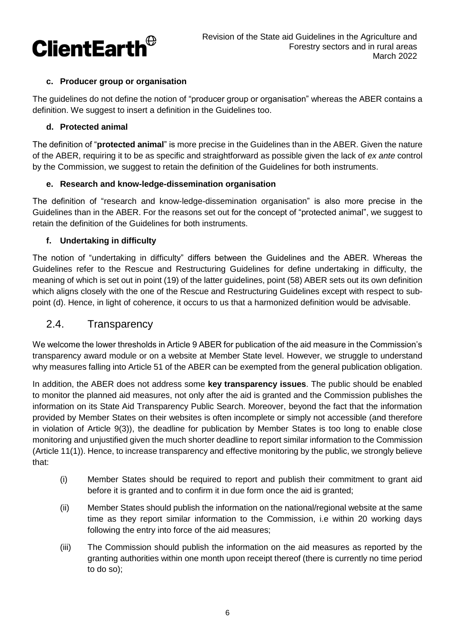

#### **c. Producer group or organisation**

The guidelines do not define the notion of "producer group or organisation" whereas the ABER contains a definition. We suggest to insert a definition in the Guidelines too.

#### **d. Protected animal**

The definition of "**protected animal**" is more precise in the Guidelines than in the ABER. Given the nature of the ABER, requiring it to be as specific and straightforward as possible given the lack of *ex ante* control by the Commission, we suggest to retain the definition of the Guidelines for both instruments.

#### **e. Research and know-ledge-dissemination organisation**

The definition of "research and know-ledge-dissemination organisation" is also more precise in the Guidelines than in the ABER. For the reasons set out for the concept of "protected animal", we suggest to retain the definition of the Guidelines for both instruments.

#### **f. Undertaking in difficulty**

The notion of "undertaking in difficulty" differs between the Guidelines and the ABER. Whereas the Guidelines refer to the Rescue and Restructuring Guidelines for define undertaking in difficulty, the meaning of which is set out in point (19) of the latter guidelines, point (58) ABER sets out its own definition which aligns closely with the one of the Rescue and Restructuring Guidelines except with respect to subpoint (d). Hence, in light of coherence, it occurs to us that a harmonized definition would be advisable.

#### 2.4. Transparency

We welcome the lower thresholds in Article 9 ABER for publication of the aid measure in the Commission's transparency award module or on a website at Member State level. However, we struggle to understand why measures falling into Article 51 of the ABER can be exempted from the general publication obligation.

In addition, the ABER does not address some **key transparency issues**. The public should be enabled to monitor the planned aid measures, not only after the aid is granted and the Commission publishes the information on its State Aid Transparency Public Search. Moreover, beyond the fact that the information provided by Member States on their websites is often incomplete or simply not accessible (and therefore in violation of Article 9(3)), the deadline for publication by Member States is too long to enable close monitoring and unjustified given the much shorter deadline to report similar information to the Commission (Article 11(1)). Hence, to increase transparency and effective monitoring by the public, we strongly believe that:

- (i) Member States should be required to report and publish their commitment to grant aid before it is granted and to confirm it in due form once the aid is granted;
- (ii) Member States should publish the information on the national/regional website at the same time as they report similar information to the Commission, i.e within 20 working days following the entry into force of the aid measures;
- (iii) The Commission should publish the information on the aid measures as reported by the granting authorities within one month upon receipt thereof (there is currently no time period to do so);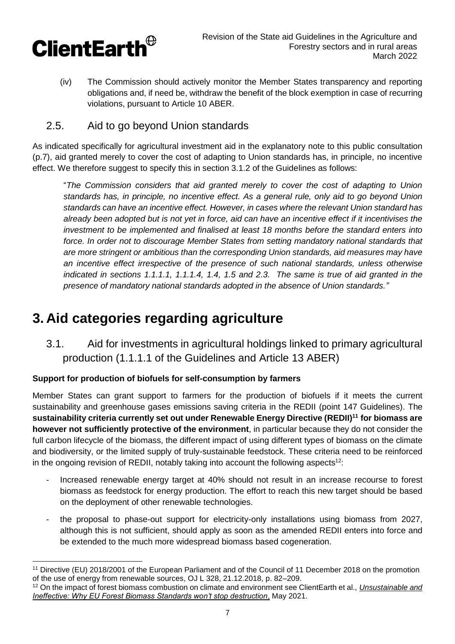

(iv) The Commission should actively monitor the Member States transparency and reporting obligations and, if need be, withdraw the benefit of the block exemption in case of recurring violations, pursuant to Article 10 ABER.

## 2.5. Aid to go beyond Union standards

As indicated specifically for agricultural investment aid in the explanatory note to this public consultation (p.7), aid granted merely to cover the cost of adapting to Union standards has, in principle, no incentive effect. We therefore suggest to specify this in section 3.1.2 of the Guidelines as follows:

"*The Commission considers that aid granted merely to cover the cost of adapting to Union standards has, in principle, no incentive effect. As a general rule, only aid to go beyond Union standards can have an incentive effect. However, in cases where the relevant Union standard has already been adopted but is not yet in force, aid can have an incentive effect if it incentivises the investment to be implemented and finalised at least 18 months before the standard enters into force. In order not to discourage Member States from setting mandatory national standards that are more stringent or ambitious than the corresponding Union standards, aid measures may have an incentive effect irrespective of the presence of such national standards, unless otherwise indicated in sections 1.1.1.1, 1.1.1.4, 1.4, 1.5 and 2.3. The same is true of aid granted in the presence of mandatory national standards adopted in the absence of Union standards."*

# **3. Aid categories regarding agriculture**

3.1. Aid for investments in agricultural holdings linked to primary agricultural production (1.1.1.1 of the Guidelines and Article 13 ABER)

#### **Support for production of biofuels for self-consumption by farmers**

Member States can grant support to farmers for the production of biofuels if it meets the current sustainability and greenhouse gases emissions saving criteria in the REDII (point 147 Guidelines). The **sustainability criteria currently set out under Renewable Energy Directive (REDII) <sup>11</sup> for biomass are however not sufficiently protective of the environment**, in particular because they do not consider the full carbon lifecycle of the biomass, the different impact of using different types of biomass on the climate and biodiversity, or the limited supply of truly-sustainable feedstock. These criteria need to be reinforced in the ongoing revision of REDII, notably taking into account the following aspects<sup>12</sup>:

- Increased renewable energy target at 40% should not result in an increase recourse to forest biomass as feedstock for energy production. The effort to reach this new target should be based on the deployment of other renewable technologies.
- the proposal to phase-out support for electricity-only installations using biomass from 2027, although this is not sufficient, should apply as soon as the amended REDII enters into force and be extended to the much more widespread biomass based cogeneration.

 <sup>11</sup> Directive (EU) 2018/2001 of the European Parliament and of the Council of 11 December 2018 on the promotion of the use of energy from renewable sources, OJ L 328, 21.12.2018, p. 82–209.

<sup>12</sup> On the impact of forest biomass combustion on climate and environment see ClientEarth et al., *[Unsustainable and](https://www.clientearth.org/latest/documents/unsustainable-and-ineffective-why-eu-forest-biomass-standards-won-t-stop-destruction/)  [Ineffective: Why EU Forest Biomass Standards won't stop destruction](https://www.clientearth.org/latest/documents/unsustainable-and-ineffective-why-eu-forest-biomass-standards-won-t-stop-destruction/)*, May 2021.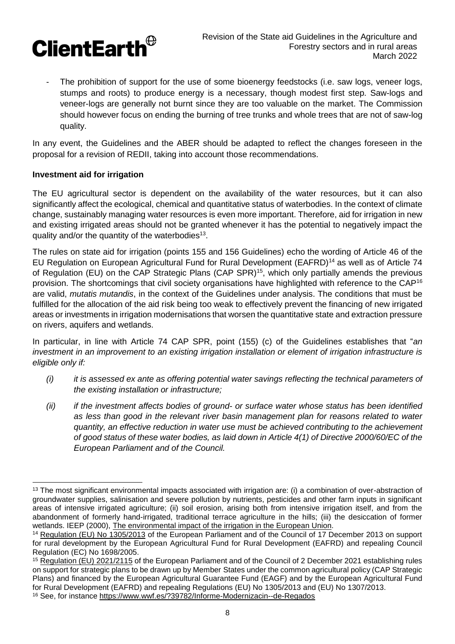

The prohibition of support for the use of some bioenergy feedstocks (i.e. saw logs, veneer logs, stumps and roots) to produce energy is a necessary, though modest first step. Saw-logs and veneer-logs are generally not burnt since they are too valuable on the market. The Commission should however focus on ending the burning of tree trunks and whole trees that are not of saw-log quality.

In any event, the Guidelines and the ABER should be adapted to reflect the changes foreseen in the proposal for a revision of REDII, taking into account those recommendations.

#### **Investment aid for irrigation**

 $\overline{a}$ 

The EU agricultural sector is dependent on the availability of the water resources, but it can also significantly affect the ecological, chemical and quantitative status of waterbodies. In the context of climate change, sustainably managing water resources is even more important. Therefore, aid for irrigation in new and existing irrigated areas should not be granted whenever it has the potential to negatively impact the quality and/or the quantity of the waterbodies<sup>13</sup>.

The rules on state aid for irrigation (points 155 and 156 Guidelines) echo the wording of Article 46 of the EU Regulation on European Agricultural Fund for Rural Development (EAFRD)<sup>14</sup> as well as of Article 74 of Regulation (EU) on the CAP Strategic Plans (CAP SPR)<sup>15</sup>, which only partially amends the previous provision. The shortcomings that civil society organisations have highlighted with reference to the CAP<sup>16</sup> are valid, *mutatis mutandis*, in the context of the Guidelines under analysis. The conditions that must be fulfilled for the allocation of the aid risk being too weak to effectively prevent the financing of new irrigated areas or investments in irrigation modernisations that worsen the quantitative state and extraction pressure on rivers, aquifers and wetlands.

In particular, in line with Article 74 CAP SPR, point (155) (c) of the Guidelines establishes that "*an investment in an improvement to an existing irrigation installation or element of irrigation infrastructure is eligible only if:*

- *(i) it is assessed ex ante as offering potential water savings reflecting the technical parameters of the existing installation or infrastructure;*
- *(ii) if the investment affects bodies of ground- or surface water whose status has been identified as less than good in the relevant river basin management plan for reasons related to water quantity, an effective reduction in water use must be achieved contributing to the achievement of good status of these water bodies, as laid down in Article 4(1) of Directive 2000/60/EC of the European Parliament and of the Council.*

<sup>&</sup>lt;sup>13</sup> The most significant environmental impacts associated with irrigation are: (i) a combination of over-abstraction of groundwater supplies, salinisation and severe pollution by nutrients, pesticides and other farm inputs in significant areas of intensive irrigated agriculture; (ii) soil erosion, arising both from intensive irrigation itself, and from the abandonment of formerly hand-irrigated, traditional terrace agriculture in the hills; (iii) the desiccation of former wetlands. IEEP (2000), [The environmental impact of the irrigation in the European Union.](https://ec.europa.eu/environment/agriculture/pdf/irrigation.pdf)

<sup>14</sup> [Regulation \(EU\) No 1305/2013](https://eur-lex.europa.eu/legal-content/EN/TXT/PDF/?uri=CELEX:32013R1305&from=EN) of the European Parliament and of the Council of 17 December 2013 on support for rural development by the European Agricultural Fund for Rural Development (EAFRD) and repealing Council Regulation (EC) No 1698/2005.

<sup>&</sup>lt;sup>15</sup> [Regulation \(EU\)](https://eur-lex.europa.eu/legal-content/EN/TXT/?uri=CELEX:32021R2115) 2021/2115 of the European Parliament and of the Council of 2 December 2021 establishing rules on support for strategic plans to be drawn up by Member States under the common agricultural policy (CAP Strategic Plans) and financed by the European Agricultural Guarantee Fund (EAGF) and by the European Agricultural Fund for Rural Development (EAFRD) and repealing Regulations (EU) No 1305/2013 and (EU) No 1307/2013.

<sup>16</sup> See, for instance<https://www.wwf.es/?39782/Informe-Modernizacin--de-Regados>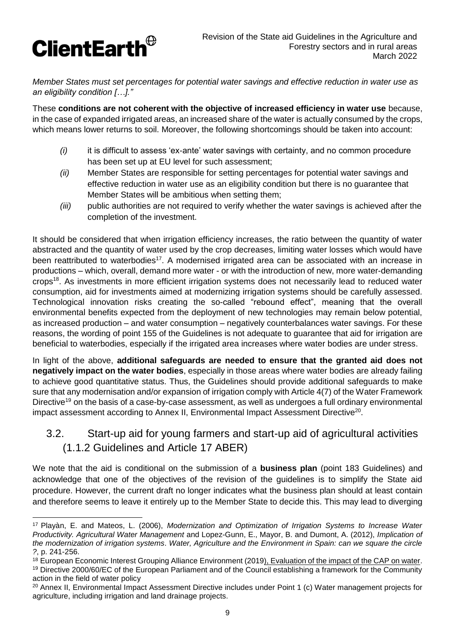

*Member States must set percentages for potential water savings and effective reduction in water use as an eligibility condition […]."*

These **conditions are not coherent with the objective of increased efficiency in water use** because, in the case of expanded irrigated areas, an increased share of the water is actually consumed by the crops, which means lower returns to soil. Moreover, the following shortcomings should be taken into account:

- *(i)* it is difficult to assess 'ex-ante' water savings with certainty, and no common procedure has been set up at EU level for such assessment;
- *(ii)* Member States are responsible for setting percentages for potential water savings and effective reduction in water use as an eligibility condition but there is no guarantee that Member States will be ambitious when setting them;
- *(iii)* public authorities are not required to verify whether the water savings is achieved after the completion of the investment.

It should be considered that when irrigation efficiency increases, the ratio between the quantity of water abstracted and the quantity of water used by the crop decreases, limiting water losses which would have been reattributed to waterbodies<sup>17</sup>. A modernised irrigated area can be associated with an increase in productions – which, overall, demand more water - or with the introduction of new, more water-demanding crops<sup>18</sup>. As investments in more efficient irrigation systems does not necessarily lead to reduced water consumption, aid for investments aimed at modernizing irrigation systems should be carefully assessed. Technological innovation risks creating the so-called "rebound effect", meaning that the overall environmental benefits expected from the deployment of new technologies may remain below potential, as increased production – and water consumption – negatively counterbalances water savings. For these reasons, the wording of point 155 of the Guidelines is not adequate to guarantee that aid for irrigation are beneficial to waterbodies, especially if the irrigated area increases where water bodies are under stress.

In light of the above, **additional safeguards are needed to ensure that the granted aid does not negatively impact on the water bodies**, especially in those areas where water bodies are already failing to achieve good quantitative status. Thus, the Guidelines should provide additional safeguards to make sure that any modernisation and/or expansion of irrigation comply with Article 4(7) of the Water Framework Directive<sup>19</sup> on the basis of a case-by-case assessment, as well as undergoes a full ordinary environmental impact assessment according to Annex II, Environmental Impact Assessment Directive<sup>20</sup>.

## 3.2. Start-up aid for young farmers and start-up aid of agricultural activities (1.1.2 Guidelines and Article 17 ABER)

We note that the aid is conditional on the submission of a **business plan** (point 183 Guidelines) and acknowledge that one of the objectives of the revision of the guidelines is to simplify the State aid procedure. However, the current draft no longer indicates what the business plan should at least contain and therefore seems to leave it entirely up to the Member State to decide this. This may lead to diverging

 $\overline{a}$ <sup>17</sup> Playàn, E. and Mateos, L. (2006), *Modernization and Optimization of Irrigation Systems to Increase Water Productivity. Agricultural Water Management* and Lopez-Gunn, E., Mayor, B. and Dumont, A. (2012), *Implication of the modernization of irrigation systems*. *Water, Agriculture and the Environment in Spain: can we square the circle ?*, p. 241-256.

<sup>&</sup>lt;sup>18</sup> European Economic Interest Grouping Alliance Environment (201[9\), Evaluation of the impact of the CAP on water.](file://///lon-fp01/home$/lfornabaio/Downloads/KF0319668ENN.en.pdf) <sup>19</sup> Directive 2000/60/EC of the European Parliament and of the Council establishing a framework for the Community action in the field of water policy

<sup>&</sup>lt;sup>20</sup> Annex II, Environmental Impact Assessment Directive includes under Point 1 (c) Water management projects for agriculture, including irrigation and land drainage projects.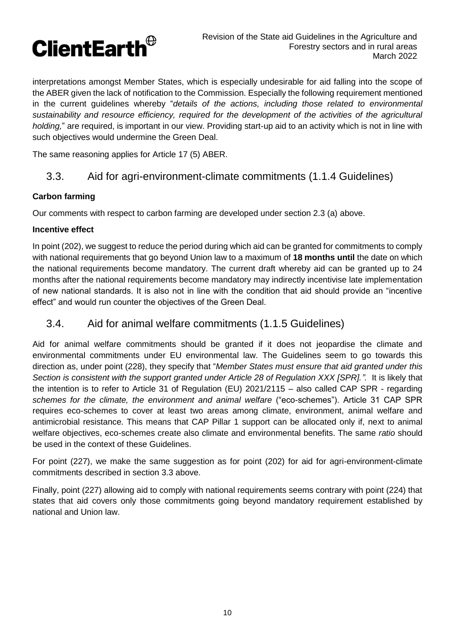

interpretations amongst Member States, which is especially undesirable for aid falling into the scope of the ABER given the lack of notification to the Commission. Especially the following requirement mentioned in the current guidelines whereby "*details of the actions, including those related to environmental sustainability and resource efficiency, required for the development of the activities of the agricultural holding,*" are required, is important in our view. Providing start-up aid to an activity which is not in line with such objectives would undermine the Green Deal.

The same reasoning applies for Article 17 (5) ABER.

## 3.3. Aid for agri-environment-climate commitments (1.1.4 Guidelines)

#### **Carbon farming**

Our comments with respect to carbon farming are developed under section 2.3 (a) above.

#### **Incentive effect**

In point (202), we suggest to reduce the period during which aid can be granted for commitments to comply with national requirements that go beyond Union law to a maximum of **18 months until** the date on which the national requirements become mandatory. The current draft whereby aid can be granted up to 24 months after the national requirements become mandatory may indirectly incentivise late implementation of new national standards. It is also not in line with the condition that aid should provide an "incentive effect" and would run counter the objectives of the Green Deal.

### 3.4. Aid for animal welfare commitments (1.1.5 Guidelines)

Aid for animal welfare commitments should be granted if it does not jeopardise the climate and environmental commitments under EU environmental law. The Guidelines seem to go towards this direction as, under point (228), they specify that "*Member States must ensure that aid granted under this Section is consistent with the support granted under Article 28 of Regulation XXX [SPR].".* It is likely that the intention is to refer to Article 31 of Regulation (EU) 2021/2115 – also called CAP SPR - regarding *schemes for the climate, the environment and animal welfare* ("eco-schemes"). Article 31 CAP SPR requires eco-schemes to cover at least two areas among climate, environment, animal welfare and antimicrobial resistance. This means that CAP Pillar 1 support can be allocated only if, next to animal welfare objectives, eco-schemes create also climate and environmental benefits. The same *ratio* should be used in the context of these Guidelines.

For point (227), we make the same suggestion as for point (202) for aid for agri-environment-climate commitments described in section 3.3 above.

Finally, point (227) allowing aid to comply with national requirements seems contrary with point (224) that states that aid covers only those commitments going beyond mandatory requirement established by national and Union law.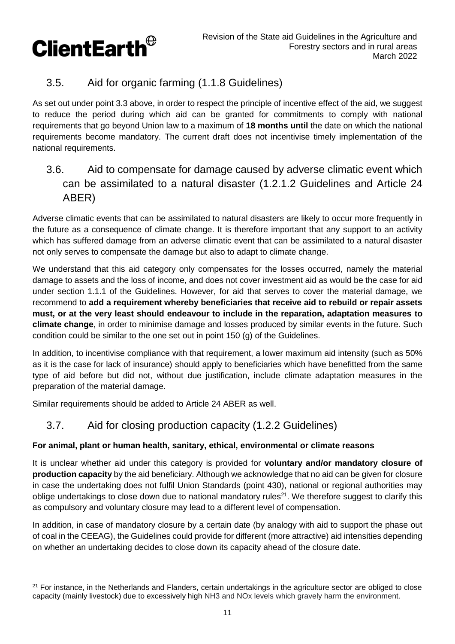

## 3.5. Aid for organic farming (1.1.8 Guidelines)

As set out under point 3.3 above, in order to respect the principle of incentive effect of the aid, we suggest to reduce the period during which aid can be granted for commitments to comply with national requirements that go beyond Union law to a maximum of **18 months until** the date on which the national requirements become mandatory. The current draft does not incentivise timely implementation of the national requirements.

## 3.6. Aid to compensate for damage caused by adverse climatic event which can be assimilated to a natural disaster (1.2.1.2 Guidelines and Article 24 ABER)

Adverse climatic events that can be assimilated to natural disasters are likely to occur more frequently in the future as a consequence of climate change. It is therefore important that any support to an activity which has suffered damage from an adverse climatic event that can be assimilated to a natural disaster not only serves to compensate the damage but also to adapt to climate change.

We understand that this aid category only compensates for the losses occurred, namely the material damage to assets and the loss of income, and does not cover investment aid as would be the case for aid under section 1.1.1 of the Guidelines. However, for aid that serves to cover the material damage, we recommend to **add a requirement whereby beneficiaries that receive aid to rebuild or repair assets must, or at the very least should endeavour to include in the reparation, adaptation measures to climate change**, in order to minimise damage and losses produced by similar events in the future. Such condition could be similar to the one set out in point 150 (g) of the Guidelines.

In addition, to incentivise compliance with that requirement, a lower maximum aid intensity (such as 50% as it is the case for lack of insurance) should apply to beneficiaries which have benefitted from the same type of aid before but did not, without due justification, include climate adaptation measures in the preparation of the material damage.

Similar requirements should be added to Article 24 ABER as well.

## 3.7. Aid for closing production capacity (1.2.2 Guidelines)

#### **For animal, plant or human health, sanitary, ethical, environmental or climate reasons**

It is unclear whether aid under this category is provided for **voluntary and/or mandatory closure of production capacity** by the aid beneficiary. Although we acknowledge that no aid can be given for closure in case the undertaking does not fulfil Union Standards (point 430), national or regional authorities may oblige undertakings to close down due to national mandatory rules<sup>21</sup>. We therefore suggest to clarify this as compulsory and voluntary closure may lead to a different level of compensation.

In addition, in case of mandatory closure by a certain date (by analogy with aid to support the phase out of coal in the CEEAG), the Guidelines could provide for different (more attractive) aid intensities depending on whether an undertaking decides to close down its capacity ahead of the closure date.

<sup>&</sup>lt;sup>21</sup> For instance, in the Netherlands and Flanders, certain undertakings in the agriculture sector are obliged to close capacity (mainly livestock) due to excessively high NH3 and NOx levels which gravely harm the environment.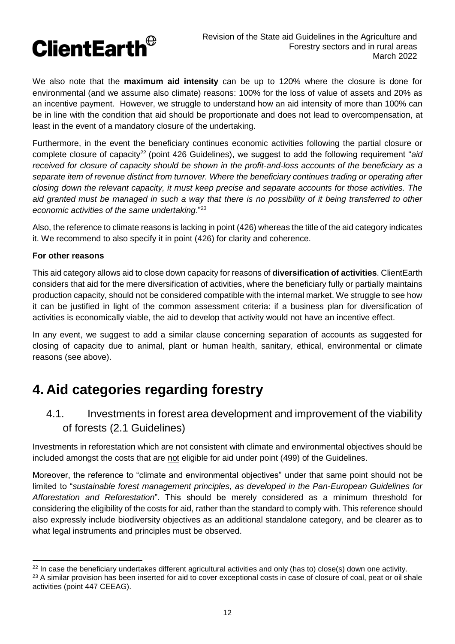

We also note that the **maximum aid intensity** can be up to 120% where the closure is done for environmental (and we assume also climate) reasons: 100% for the loss of value of assets and 20% as an incentive payment. However, we struggle to understand how an aid intensity of more than 100% can be in line with the condition that aid should be proportionate and does not lead to overcompensation, at least in the event of a mandatory closure of the undertaking.

Furthermore, in the event the beneficiary continues economic activities following the partial closure or complete closure of capacity<sup>22</sup> (point 426 Guidelines), we suggest to add the following requirement "aid *received for closure of capacity should be shown in the profit-and-loss accounts of the beneficiary as a separate item of revenue distinct from turnover. Where the beneficiary continues trading or operating after closing down the relevant capacity, it must keep precise and separate accounts for those activities. The aid granted must be managed in such a way that there is no possibility of it being transferred to other economic activities of the same undertaking*."<sup>23</sup>

Also, the reference to climate reasons is lacking in point (426) whereas the title of the aid category indicates it. We recommend to also specify it in point (426) for clarity and coherence.

#### **For other reasons**

This aid category allows aid to close down capacity for reasons of **diversification of activities**. ClientEarth considers that aid for the mere diversification of activities, where the beneficiary fully or partially maintains production capacity, should not be considered compatible with the internal market. We struggle to see how it can be justified in light of the common assessment criteria: if a business plan for diversification of activities is economically viable, the aid to develop that activity would not have an incentive effect.

In any event, we suggest to add a similar clause concerning separation of accounts as suggested for closing of capacity due to animal, plant or human health, sanitary, ethical, environmental or climate reasons (see above).

# **4. Aid categories regarding forestry**

4.1. Investments in forest area development and improvement of the viability of forests (2.1 Guidelines)

Investments in reforestation which are not consistent with climate and environmental objectives should be included amongst the costs that are not eligible for aid under point (499) of the Guidelines.

Moreover, the reference to "climate and environmental objectives" under that same point should not be limited to "*sustainable forest management principles, as developed in the Pan-European Guidelines for Afforestation and Reforestation*". This should be merely considered as a minimum threshold for considering the eligibility of the costs for aid, rather than the standard to comply with. This reference should also expressly include biodiversity objectives as an additional standalone category, and be clearer as to what legal instruments and principles must be observed.

<sup>&</sup>lt;sup>22</sup> In case the beneficiary undertakes different agricultural activities and only (has to) close(s) down one activity. <sup>23</sup> A similar provision has been inserted for aid to cover exceptional costs in case of closure of coal, peat or oil shale activities (point 447 CEEAG).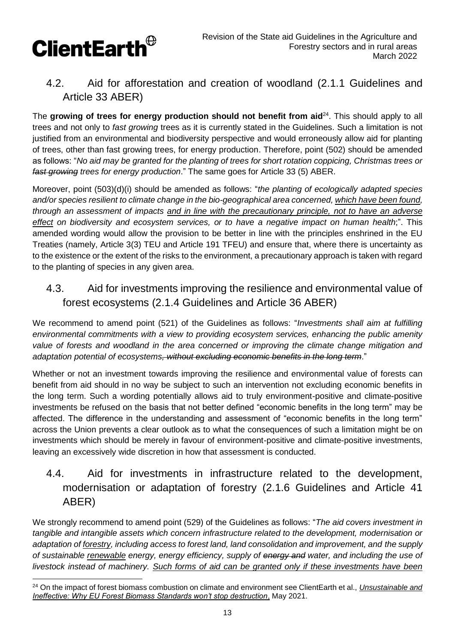

## 4.2. Aid for afforestation and creation of woodland (2.1.1 Guidelines and Article 33 ABER)

The growing of trees for energy production should not benefit from aid<sup>24</sup>. This should apply to all trees and not only to *fast growing* trees as it is currently stated in the Guidelines. Such a limitation is not justified from an environmental and biodiversity perspective and would erroneously allow aid for planting of trees, other than fast growing trees, for energy production. Therefore, point (502) should be amended as follows: "*No aid may be granted for the planting of trees for short rotation coppicing, Christmas trees or fast growing trees for energy production*." The same goes for Article 33 (5) ABER.

Moreover, point (503)(d)(i) should be amended as follows: "*the planting of ecologically adapted species and/or species resilient to climate change in the bio-geographical area concerned, which have been found, through an assessment of impacts and in line with the precautionary principle, not to have an adverse effect on biodiversity and ecosystem services, or to have a negative impact on human health*;". This amended wording would allow the provision to be better in line with the principles enshrined in the EU Treaties (namely, Article 3(3) TEU and Article 191 TFEU) and ensure that, where there is uncertainty as to the existence or the extent of the risks to the environment, a precautionary approach is taken with regard to the planting of species in any given area.

## 4.3. Aid for investments improving the resilience and environmental value of forest ecosystems (2.1.4 Guidelines and Article 36 ABER)

We recommend to amend point (521) of the Guidelines as follows: "*Investments shall aim at fulfilling environmental commitments with a view to providing ecosystem services, enhancing the public amenity value of forests and woodland in the area concerned or improving the climate change mitigation and adaptation potential of ecosystems, without excluding economic benefits in the long term*."

Whether or not an investment towards improving the resilience and environmental value of forests can benefit from aid should in no way be subject to such an intervention not excluding economic benefits in the long term. Such a wording potentially allows aid to truly environment-positive and climate-positive investments be refused on the basis that not better defined "economic benefits in the long term" may be affected. The difference in the understanding and assessment of "economic benefits in the long term" across the Union prevents a clear outlook as to what the consequences of such a limitation might be on investments which should be merely in favour of environment-positive and climate-positive investments, leaving an excessively wide discretion in how that assessment is conducted.

## 4.4. Aid for investments in infrastructure related to the development, modernisation or adaptation of forestry (2.1.6 Guidelines and Article 41 ABER)

We strongly recommend to amend point (529) of the Guidelines as follows: "*The aid covers investment in tangible and intangible assets which concern infrastructure related to the development, modernisation or adaptation of forestry, including access to forest land, land consolidation and improvement, and the supply of sustainable renewable energy, energy efficiency, supply of energy and water, and including the use of livestock instead of machinery. Such forms of aid can be granted only if these investments have been* 

 <sup>24</sup> On the impact of forest biomass combustion on climate and environment see ClientEarth et al., *[Unsustainable and](https://www.clientearth.org/latest/documents/unsustainable-and-ineffective-why-eu-forest-biomass-standards-won-t-stop-destruction/)  [Ineffective: Why EU Forest Biomass Standards won't stop destruction](https://www.clientearth.org/latest/documents/unsustainable-and-ineffective-why-eu-forest-biomass-standards-won-t-stop-destruction/)*, May 2021.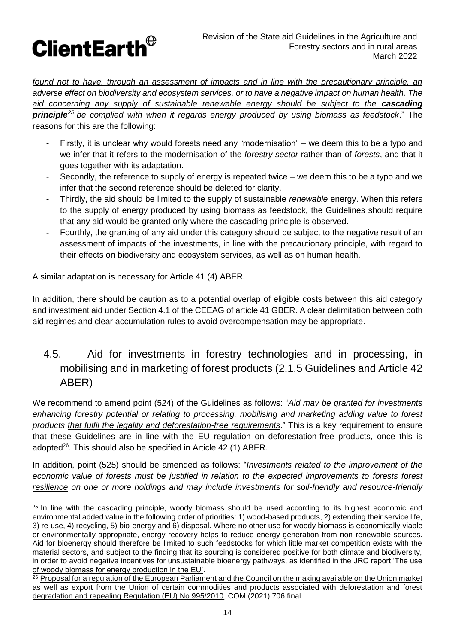

*found not to have, through an assessment of impacts and in line with the precautionary principle, an adverse effect on biodiversity and ecosystem services, or to have a negative impact on human health. The*  aid concerning any supply of sustainable renewable energy should be subject to the **cascading** *principle<sup>25</sup> be complied with when it regards energy produced by using biomass as feedstock*." The reasons for this are the following:

- Firstly, it is unclear why would forests need any "modernisation" we deem this to be a typo and we infer that it refers to the modernisation of the *forestry sector* rather than of *forests*, and that it goes together with its adaptation.
- Secondly, the reference to supply of energy is repeated twice  $-$  we deem this to be a typo and we infer that the second reference should be deleted for clarity.
- Thirdly, the aid should be limited to the supply of sustainable *renewable* energy. When this refers to the supply of energy produced by using biomass as feedstock, the Guidelines should require that any aid would be granted only where the cascading principle is observed.
- Fourthly, the granting of any aid under this category should be subject to the negative result of an assessment of impacts of the investments, in line with the precautionary principle, with regard to their effects on biodiversity and ecosystem services, as well as on human health.

A similar adaptation is necessary for Article 41 (4) ABER.

In addition, there should be caution as to a potential overlap of eligible costs between this aid category and investment aid under Section 4.1 of the CEEAG of article 41 GBER. A clear delimitation between both aid regimes and clear accumulation rules to avoid overcompensation may be appropriate.

## 4.5. Aid for investments in forestry technologies and in processing, in mobilising and in marketing of forest products (2.1.5 Guidelines and Article 42 ABER)

We recommend to amend point (524) of the Guidelines as follows: "*Aid may be granted for investments enhancing forestry potential or relating to processing, mobilising and marketing adding value to forest products that fulfil the legality and deforestation-free requirements*." This is a key requirement to ensure that these Guidelines are in line with the EU regulation on deforestation-free products, once this is adopted<sup>26</sup>. This should also be specified in Article 42 (1) ABER.

In addition, point (525) should be amended as follows: "*Investments related to the improvement of the economic value of forests must be justified in relation to the expected improvements to forests forest resilience on one or more holdings and may include investments for soil-friendly and resource-friendly* 

 <sup>25</sup> In line with the cascading principle, woody biomass should be used according to its highest economic and environmental added value in the following order of priorities: 1) wood-based products, 2) extending their service life, 3) re-use, 4) recycling, 5) bio-energy and 6) disposal. Where no other use for woody biomass is economically viable or environmentally appropriate, energy recovery helps to reduce energy generation from non-renewable sources. Aid for bioenergy should therefore be limited to such feedstocks for which little market competition exists with the material sectors, and subject to the finding that its sourcing is considered positive for both climate and biodiversity, in order to avoid negative incentives for unsustainable bioenergy pathways, as identified in the JRC report 'The use [of woody biomass for energy production in the EU'.](https://publications.jrc.ec.europa.eu/repository/handle/JRC122719)

<sup>&</sup>lt;sup>26</sup> Proposal for a regulation of the European Parliament and the Council on the making available on the Union market [as well as export from the Union of certain commodities and products associated with deforestation and forest](https://ec.europa.eu/environment/document/download/5f1b726e-d7c4-4c51-a75c-3f1ac41eb1f8_en)  [degradation and repealing Regulation \(EU\) No 995/2010,](https://ec.europa.eu/environment/document/download/5f1b726e-d7c4-4c51-a75c-3f1ac41eb1f8_en) COM (2021) 706 final.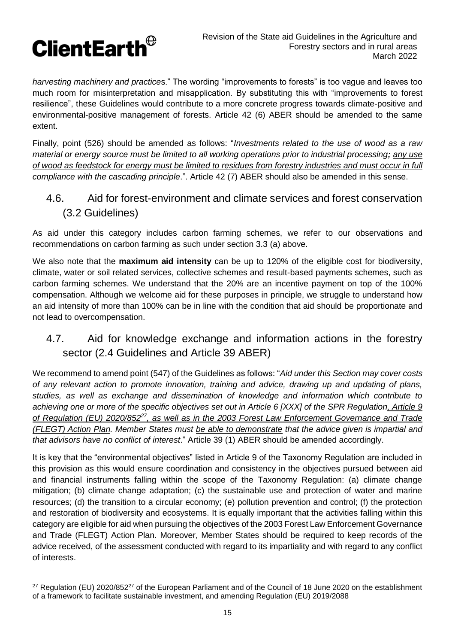

*harvesting machinery and practice*s." The wording "improvements to forests" is too vague and leaves too much room for misinterpretation and misapplication. By substituting this with "improvements to forest resilience", these Guidelines would contribute to a more concrete progress towards climate-positive and environmental-positive management of forests. Article 42 (6) ABER should be amended to the same extent.

Finally, point (526) should be amended as follows: "*Investments related to the use of wood as a raw material or energy source must be limited to all working operations prior to industrial processing; any use of wood as feedstock for energy must be limited to residues from forestry industries and must occur in full compliance with the cascading principle*.". Article 42 (7) ABER should also be amended in this sense.

4.6. Aid for forest-environment and climate services and forest conservation (3.2 Guidelines)

As aid under this category includes carbon farming schemes, we refer to our observations and recommendations on carbon farming as such under section 3.3 (a) above.

We also note that the **maximum aid intensity** can be up to 120% of the eligible cost for biodiversity, climate, water or soil related services, collective schemes and result-based payments schemes, such as carbon farming schemes. We understand that the 20% are an incentive payment on top of the 100% compensation. Although we welcome aid for these purposes in principle, we struggle to understand how an aid intensity of more than 100% can be in line with the condition that aid should be proportionate and not lead to overcompensation.

## 4.7. Aid for knowledge exchange and information actions in the forestry sector (2.4 Guidelines and Article 39 ABER)

We recommend to amend point (547) of the Guidelines as follows: "*Aid under this Section may cover costs of any relevant action to promote innovation, training and advice, drawing up and updating of plans, studies, as well as exchange and dissemination of knowledge and information which contribute to achieving one or more of the specific objectives set out in Article 6 [XXX] of the SPR Regulation, Article 9 of Regulation (EU) 2020/852<sup>27</sup>, as well as in the 2003 Forest Law Enforcement Governance and Trade (FLEGT) Action Plan. Member States must be able to demonstrate that the advice given is impartial and that advisors have no conflict of interest*." Article 39 (1) ABER should be amended accordingly.

It is key that the "environmental objectives" listed in Article 9 of the Taxonomy Regulation are included in this provision as this would ensure coordination and consistency in the objectives pursued between aid and financial instruments falling within the scope of the Taxonomy Regulation: (a) climate change mitigation; (b) climate change adaptation; (c) the sustainable use and protection of water and marine resources; (d) the transition to a circular economy; (e) pollution prevention and control; (f) the protection and restoration of biodiversity and ecosystems. It is equally important that the activities falling within this category are eligible for aid when pursuing the objectives of the 2003 Forest Law Enforcement Governance and Trade (FLEGT) Action Plan. Moreover, Member States should be required to keep records of the advice received, of the assessment conducted with regard to its impartiality and with regard to any conflict of interests.

 <sup>27</sup> Regulation (EU) 2020/852<sup>27</sup> of the European Parliament and of the Council of 18 June 2020 on the establishment of a framework to facilitate sustainable investment, and amending Regulation (EU) 2019/2088